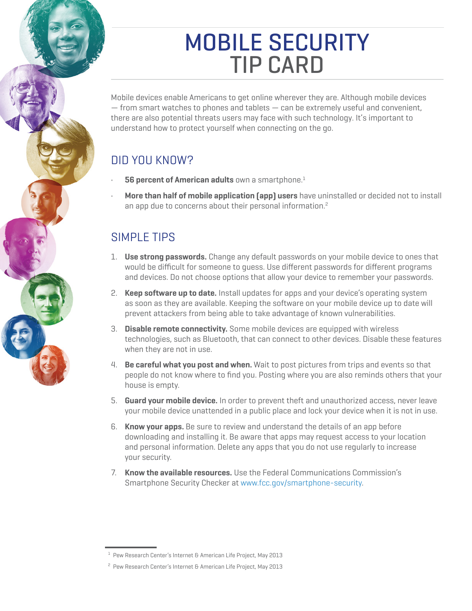# MOBILE SECURITY TIP CARD

Mobile devices enable Americans to get online wherever they are. Although mobile devices  $-$  from smart watches to phones and tablets  $-$  can be extremely useful and convenient, there are also potential threats users may face with such technology. It's important to understand how to protect yourself when connecting on the go.

# DID YOU KNOW?

- **56 percent of American adults** own a smartphone.<sup>1</sup>
- **More than half of mobile application (app) users** have uninstalled or decided not to install an app due to concerns about their personal information.2

## SIMPLE TIPS

- 1. **Use strong passwords.** Change any default passwords on your mobile device to ones that would be difficult for someone to guess. Use different passwords for different programs and devices. Do not choose options that allow your device to remember your passwords.
- 2. **Keep software up to date.** Install updates for apps and your device's operating system as soon as they are available. Keeping the software on your mobile device up to date will prevent attackers from being able to take advantage of known vulnerabilities.
- 3. **Disable remote connectivity.** Some mobile devices are equipped with wireless technologies, such as Bluetooth, that can connect to other devices. Disable these features when they are not in use.
- 4. **Be careful what you post and when.** Wait to post pictures from trips and events so that people do not know where to find you. Posting where you are also reminds others that your house is empty.
- 5. **Guard your mobile device.** In order to prevent theft and unauthorized access, never leave your mobile device unattended in a public place and lock your device when it is not in use.
- 6. **Know your apps.** Be sure to review and understand the details of an app before downloading and installing it. Be aware that apps may request access to your location and personal information. Delete any apps that you do not use regularly to increase your security.
- 7. **Know the available resources.** Use the Federal Communications Commission's Smartphone Security Checker at [www.fcc.gov/smartphone-security](http://www.fcc.gov/smartphone-security).

 $^1$  Pew Research Center's Internet & American Life Project, May 2013

<sup>&</sup>lt;sup>2</sup> Pew Research Center's Internet & American Life Project, May 2013